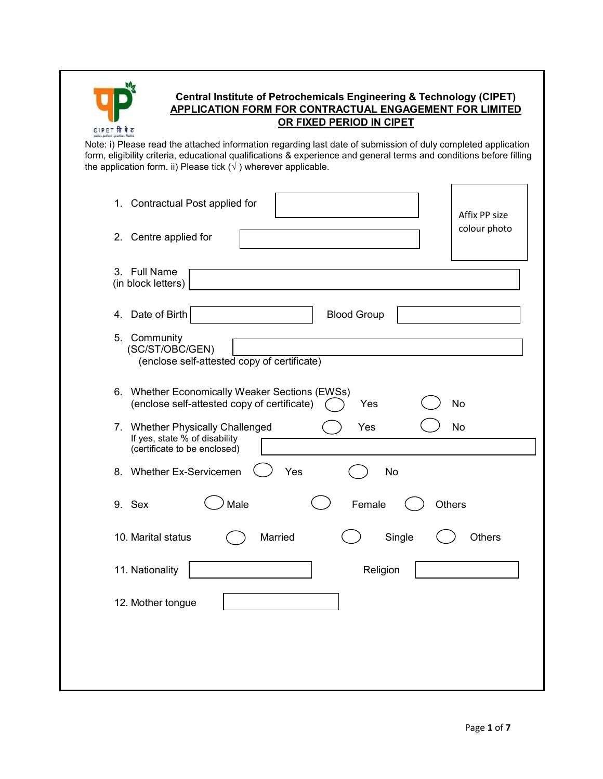| CIPET | से |
|-------|----|

# Central Institute of Petrochemicals Engineering & Technology (CIPET) APPLICATION FORM FOR CONTRACTUAL ENGAGEMENT FOR LIMITED OR FIXED PERIOD IN CIPET

#### Note: i) Please read the attached information regarding last date of submission of duly completed application form, eligibility criteria, educational qualifications & experience and general terms and conditions before filling the application form. ii) Please tick  $(\sqrt{})$  wherever applicable.

| 1. Contractual Post applied for<br>Affix PP size<br>colour photo<br>2. Centre applied for                             |
|-----------------------------------------------------------------------------------------------------------------------|
| 3. Full Name<br>(in block letters)                                                                                    |
| 4. Date of Birth<br><b>Blood Group</b>                                                                                |
| 5. Community<br>(SC/ST/OBC/GEN)<br>(enclose self-attested copy of certificate)                                        |
| 6. Whether Economically Weaker Sections (EWSs)<br>(enclose self-attested copy of certificate)<br>No<br>Yes            |
| 7. Whether Physically Challenged<br>Yes<br><b>No</b><br>If yes, state % of disability<br>(certificate to be enclosed) |
| 8. Whether Ex-Servicemen<br>Yes<br>No                                                                                 |
| Male<br>9. Sex<br>Female<br>Others                                                                                    |
| 10. Marital status<br>Married<br>Single<br>Others                                                                     |
| 11. Nationality<br>Religion                                                                                           |
|                                                                                                                       |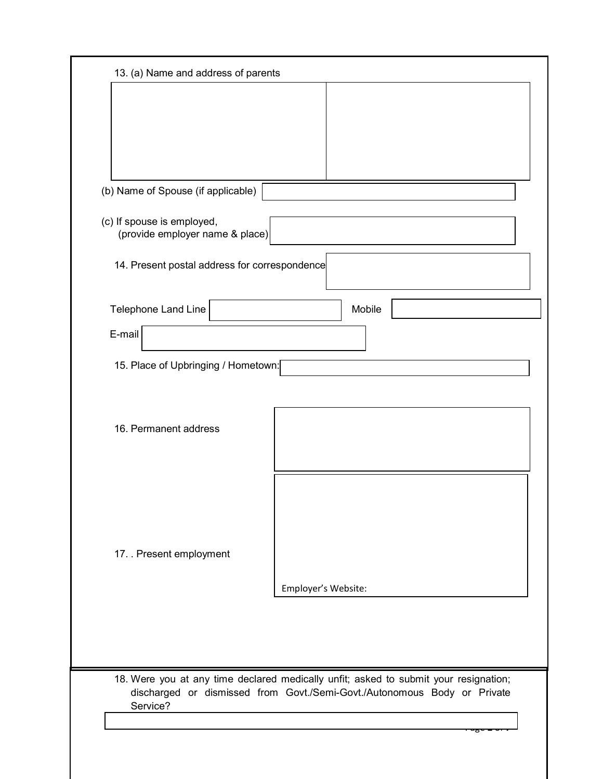| 13. (a) Name and address of parents                           |                                                                                                                                                                  |
|---------------------------------------------------------------|------------------------------------------------------------------------------------------------------------------------------------------------------------------|
|                                                               |                                                                                                                                                                  |
|                                                               |                                                                                                                                                                  |
|                                                               |                                                                                                                                                                  |
|                                                               |                                                                                                                                                                  |
| (b) Name of Spouse (if applicable)                            |                                                                                                                                                                  |
| (c) If spouse is employed,<br>(provide employer name & place) |                                                                                                                                                                  |
| 14. Present postal address for correspondence                 |                                                                                                                                                                  |
| Telephone Land Line                                           | Mobile                                                                                                                                                           |
| E-mail                                                        |                                                                                                                                                                  |
|                                                               |                                                                                                                                                                  |
| 15. Place of Upbringing / Hometown:                           |                                                                                                                                                                  |
|                                                               |                                                                                                                                                                  |
| 16. Permanent address                                         |                                                                                                                                                                  |
|                                                               |                                                                                                                                                                  |
|                                                               |                                                                                                                                                                  |
|                                                               |                                                                                                                                                                  |
|                                                               |                                                                                                                                                                  |
|                                                               |                                                                                                                                                                  |
| 17. Present employment                                        |                                                                                                                                                                  |
|                                                               | Employer's Website:                                                                                                                                              |
|                                                               |                                                                                                                                                                  |
|                                                               |                                                                                                                                                                  |
|                                                               |                                                                                                                                                                  |
| Service?                                                      | 18. Were you at any time declared medically unfit; asked to submit your resignation;<br>discharged or dismissed from Govt./Semi-Govt./Autonomous Body or Private |
|                                                               |                                                                                                                                                                  |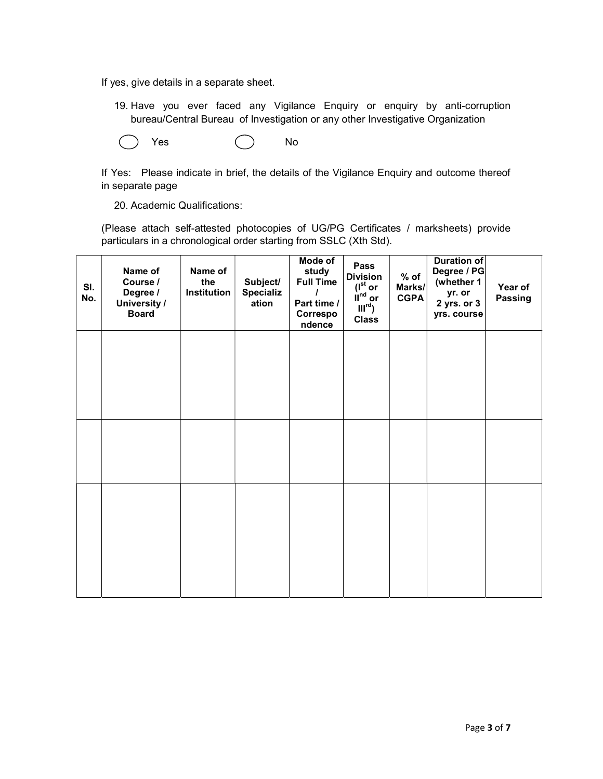If yes, give details in a separate sheet.

19. Have you ever faced any Vigilance Enquiry or enquiry by anti-corruption bureau/Central Bureau of Investigation or any other Investigative Organization

Yes ( ) No

If Yes: Please indicate in brief, the details of the Vigilance Enquiry and outcome thereof in separate page

20. Academic Qualifications:

(Please attach self-attested photocopies of UG/PG Certificates / marksheets) provide particulars in a chronological order starting from SSLC (Xth Std).

| SI.<br>No. | Name of<br>Course /<br>Degree /<br>University /<br><b>Board</b> | Name of<br>the<br>Institution | Subject/<br><b>Specializ</b><br>ation | Mode of<br>study<br><b>Full Time</b><br>Part time /<br>Correspo<br>ndence | Pass<br><b>Division</b><br>$(I^{\rm st}$ or<br>$\mathbf{u}^{\text{nd}}$ or<br>$III^{rd}$ )<br><b>Class</b> | $%$ of<br>Marks/<br><b>CGPA</b> | Duration of<br>Degree / PG<br>(whether 1<br>yr. or<br>$2$ yrs. or $3$<br>yrs. course | Year of<br>Passing |
|------------|-----------------------------------------------------------------|-------------------------------|---------------------------------------|---------------------------------------------------------------------------|------------------------------------------------------------------------------------------------------------|---------------------------------|--------------------------------------------------------------------------------------|--------------------|
|            |                                                                 |                               |                                       |                                                                           |                                                                                                            |                                 |                                                                                      |                    |
|            |                                                                 |                               |                                       |                                                                           |                                                                                                            |                                 |                                                                                      |                    |
|            |                                                                 |                               |                                       |                                                                           |                                                                                                            |                                 |                                                                                      |                    |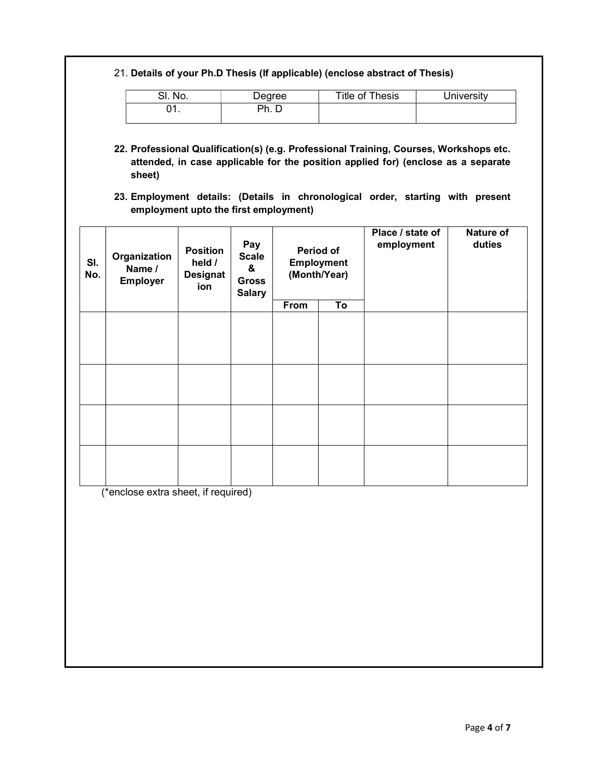## 21. Details of your Ph.D Thesis (If applicable) (enclose abstract of Thesis)

| ິ<br>No.<br>ا ب | Degree | Title of Thesis | <b>Jniversity</b> |
|-----------------|--------|-----------------|-------------------|
| าา<br>. . J     | Ph.    |                 |                   |

- 22. Professional Qualification(s) (e.g. Professional Training, Courses, Workshops etc. attended, in case applicable for the position applied for) (enclose as a separate sheet)
- 23. Employment details: (Details in chronological order, starting with present employment upto the first employment)

| SI.<br>No. | Organization<br>Name /<br><b>Employer</b> | <b>Position</b><br>held /<br><b>Designat</b><br>ion | Pay<br><b>Scale</b><br>&<br><b>Gross</b><br><b>Salary</b> | Period of<br><b>Employment</b><br>(Month/Year) |    | Place / state of<br>employment | <b>Nature of</b><br>duties |
|------------|-------------------------------------------|-----------------------------------------------------|-----------------------------------------------------------|------------------------------------------------|----|--------------------------------|----------------------------|
|            |                                           |                                                     |                                                           | From                                           | To |                                |                            |
|            |                                           |                                                     |                                                           |                                                |    |                                |                            |
|            |                                           |                                                     |                                                           |                                                |    |                                |                            |
|            |                                           |                                                     |                                                           |                                                |    |                                |                            |
|            |                                           |                                                     |                                                           |                                                |    |                                |                            |
|            |                                           |                                                     |                                                           |                                                |    |                                |                            |
|            |                                           |                                                     |                                                           |                                                |    |                                |                            |
|            |                                           |                                                     |                                                           |                                                |    |                                |                            |
|            |                                           |                                                     |                                                           |                                                |    |                                |                            |
|            |                                           |                                                     |                                                           |                                                |    |                                |                            |
|            |                                           |                                                     |                                                           |                                                |    |                                |                            |
|            |                                           |                                                     |                                                           |                                                |    |                                |                            |

(\*enclose extra sheet, if required)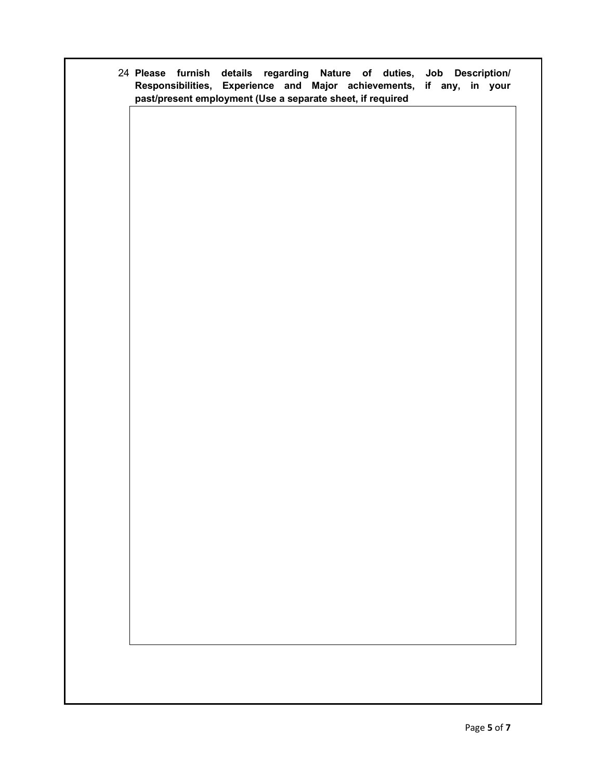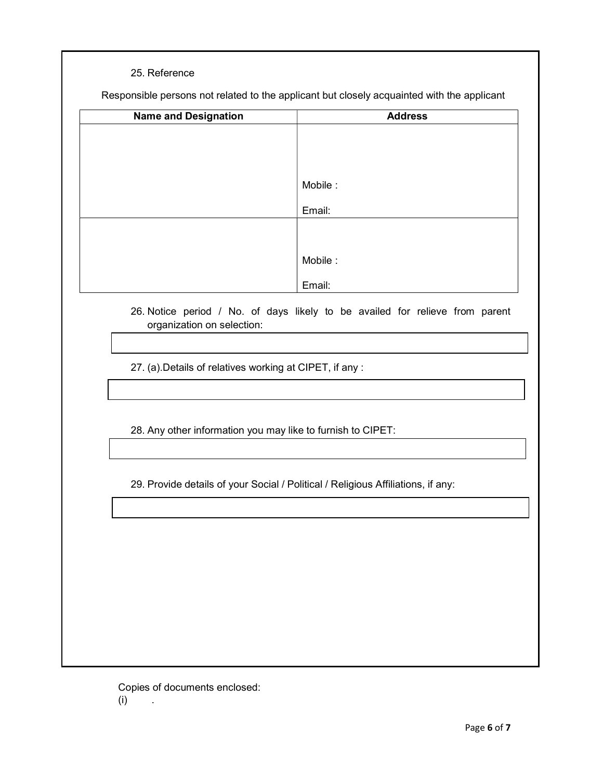### 25. Reference

Responsible persons not related to the applicant but closely acquainted with the applicant

| <b>Name and Designation</b> | <b>Address</b> |
|-----------------------------|----------------|
|                             |                |
|                             |                |
|                             |                |
|                             | Mobile:        |
|                             |                |
|                             | Email:         |
|                             |                |
|                             |                |
|                             | Mobile:        |
|                             |                |
|                             | Email:         |

26. Notice period / No. of days likely to be availed for relieve from parent organization on selection:

27. (a).Details of relatives working at CIPET, if any :

28. Any other information you may like to furnish to CIPET:

29. Provide details of your Social / Political / Religious Affiliations, if any:

Copies of documents enclosed: (i) .